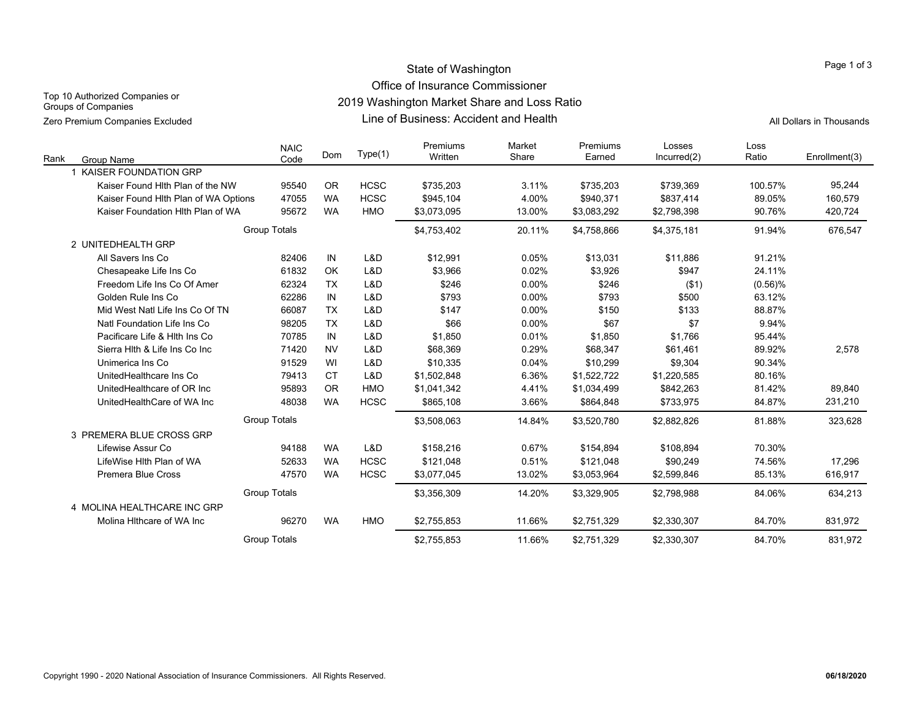### State of Washington Office of Insurance Commissioner

Top 10 Authorized Companies or Groups of Companies

2019 Washington Market Share and Loss Ratio

Line of Business: Accident and Health Zero Premium Companies Excluded All Dollars in Thousands

| Rank | Group Name                           | <b>NAIC</b><br>Code | Dom       | Type(1)     | Premiums<br>Written | Market<br>Share | Premiums<br>Earned | Losses<br>Incurred(2) | Loss<br>Ratio | Enrollment(3) |
|------|--------------------------------------|---------------------|-----------|-------------|---------------------|-----------------|--------------------|-----------------------|---------------|---------------|
|      | <b>KAISER FOUNDATION GRP</b>         |                     |           |             |                     |                 |                    |                       |               |               |
|      | Kaiser Found Hith Plan of the NW     | 95540               | <b>OR</b> | <b>HCSC</b> | \$735,203           | 3.11%           | \$735,203          | \$739,369             | 100.57%       | 95,244        |
|      | Kaiser Found Hlth Plan of WA Options | 47055               | <b>WA</b> | <b>HCSC</b> | \$945,104           | 4.00%           | \$940,371          | \$837,414             | 89.05%        | 160,579       |
|      | Kaiser Foundation Hith Plan of WA    | 95672               | <b>WA</b> | <b>HMO</b>  | \$3,073,095         | 13.00%          | \$3,083,292        | \$2,798,398           | 90.76%        | 420,724       |
|      |                                      | <b>Group Totals</b> |           |             | \$4,753,402         | 20.11%          | \$4,758,866        | \$4,375,181           | 91.94%        | 676,547       |
|      | 2 UNITEDHEALTH GRP                   |                     |           |             |                     |                 |                    |                       |               |               |
|      | All Savers Ins Co                    | 82406               | IN        | L&D         | \$12,991            | 0.05%           | \$13,031           | \$11,886              | 91.21%        |               |
|      | Chesapeake Life Ins Co               | 61832               | OK        | L&D         | \$3,966             | 0.02%           | \$3,926            | \$947                 | 24.11%        |               |
|      | Freedom Life Ins Co Of Amer          | 62324               | <b>TX</b> | L&D         | \$246               | 0.00%           | \$246              | ( \$1)                | $(0.56)$ %    |               |
|      | Golden Rule Ins Co                   | 62286               | IN        | L&D         | \$793               | 0.00%           | \$793              | \$500                 | 63.12%        |               |
|      | Mid West Natl Life Ins Co Of TN      | 66087               | <b>TX</b> | L&D         | \$147               | 0.00%           | \$150              | \$133                 | 88.87%        |               |
|      | Natl Foundation Life Ins Co          | 98205               | <b>TX</b> | L&D         | \$66                | 0.00%           | \$67               | \$7                   | 9.94%         |               |
|      | Pacificare Life & Hith Ins Co        | 70785               | IN        | L&D         | \$1,850             | 0.01%           | \$1,850            | \$1,766               | 95.44%        |               |
|      | Sierra Hith & Life Ins Co Inc        | 71420               | <b>NV</b> | L&D         | \$68,369            | 0.29%           | \$68.347           | \$61,461              | 89.92%        | 2,578         |
|      | Unimerica Ins Co                     | 91529               | WI        | L&D         | \$10,335            | 0.04%           | \$10,299           | \$9,304               | 90.34%        |               |
|      | UnitedHealthcare Ins Co              | 79413               | <b>CT</b> | L&D         | \$1,502,848         | 6.36%           | \$1,522,722        | \$1,220,585           | 80.16%        |               |
|      | UnitedHealthcare of OR Inc.          | 95893               | <b>OR</b> | <b>HMO</b>  | \$1,041,342         | 4.41%           | \$1,034,499        | \$842,263             | 81.42%        | 89,840        |
|      | UnitedHealthCare of WA Inc           | 48038               | <b>WA</b> | <b>HCSC</b> | \$865,108           | 3.66%           | \$864,848          | \$733,975             | 84.87%        | 231,210       |
|      |                                      | <b>Group Totals</b> |           |             | \$3,508,063         | 14.84%          | \$3,520,780        | \$2,882,826           | 81.88%        | 323,628       |
|      | 3 PREMERA BLUE CROSS GRP             |                     |           |             |                     |                 |                    |                       |               |               |
|      | Lifewise Assur Co                    | 94188               | <b>WA</b> | L&D         | \$158,216           | 0.67%           | \$154,894          | \$108,894             | 70.30%        |               |
|      | LifeWise Hith Plan of WA             | 52633               | <b>WA</b> | <b>HCSC</b> | \$121,048           | 0.51%           | \$121,048          | \$90,249              | 74.56%        | 17,296        |
|      | <b>Premera Blue Cross</b>            | 47570               | <b>WA</b> | <b>HCSC</b> | \$3,077,045         | 13.02%          | \$3,053,964        | \$2,599,846           | 85.13%        | 616,917       |
|      |                                      | <b>Group Totals</b> |           |             | \$3,356,309         | 14.20%          | \$3,329,905        | \$2.798.988           | 84.06%        | 634,213       |
|      | 4 MOLINA HEALTHCARE INC GRP          |                     |           |             |                     |                 |                    |                       |               |               |
|      | Molina Hithcare of WA Inc            | 96270               | <b>WA</b> | <b>HMO</b>  | \$2,755,853         | 11.66%          | \$2,751,329        | \$2,330,307           | 84.70%        | 831,972       |
|      |                                      | <b>Group Totals</b> |           |             | \$2,755,853         | 11.66%          | \$2,751,329        | \$2,330,307           | 84.70%        | 831,972       |

### Page 1 of 3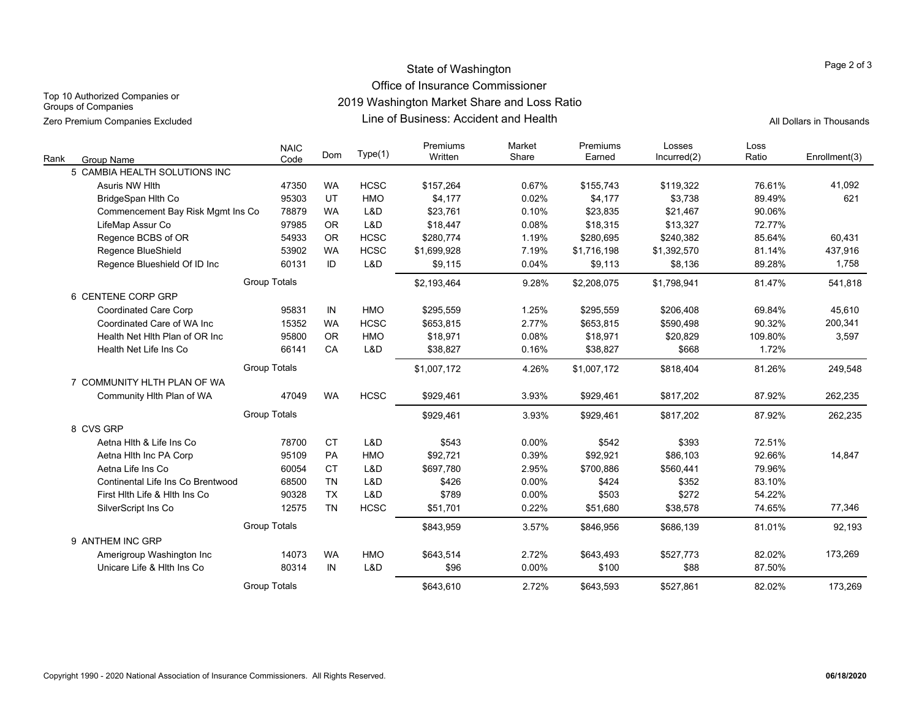# State of Washington Office of Insurance Commissioner

Top 10 Authorized Companies or Groups of Companies

2019 Washington Market Share and Loss Ratio

Line of Business: Accident and Health Zero Premium Companies Excluded All Dollars in Thousands

| Rank<br><b>Group Name</b>         | <b>NAIC</b><br>Code | Dom       | Type(1)     | Premiums<br>Written | Market<br>Share | Premiums<br>Earned | Losses<br>Incurred(2) | Loss<br>Ratio | Enrollment(3) |
|-----------------------------------|---------------------|-----------|-------------|---------------------|-----------------|--------------------|-----------------------|---------------|---------------|
| 5 CAMBIA HEALTH SOLUTIONS INC     |                     |           |             |                     |                 |                    |                       |               |               |
| Asuris NW Hlth                    | 47350               | <b>WA</b> | <b>HCSC</b> | \$157,264           | 0.67%           | \$155,743          | \$119,322             | 76.61%        | 41,092        |
| BridgeSpan Hlth Co                | 95303               | UT        | <b>HMO</b>  | \$4,177             | 0.02%           | \$4,177            | \$3,738               | 89.49%        | 621           |
| Commencement Bay Risk Mgmt Ins Co | 78879               | <b>WA</b> | L&D         | \$23,761            | 0.10%           | \$23,835           | \$21,467              | 90.06%        |               |
| LifeMap Assur Co                  | 97985               | <b>OR</b> | L&D         | \$18,447            | 0.08%           | \$18,315           | \$13,327              | 72.77%        |               |
| Regence BCBS of OR                | 54933               | <b>OR</b> | <b>HCSC</b> | \$280,774           | 1.19%           | \$280,695          | \$240,382             | 85.64%        | 60,431        |
| Regence BlueShield                | 53902               | <b>WA</b> | <b>HCSC</b> | \$1,699,928         | 7.19%           | \$1,716,198        | \$1,392,570           | 81.14%        | 437,916       |
| Regence Blueshield Of ID Inc      | 60131               | ID        | L&D         | \$9,115             | 0.04%           | \$9,113            | \$8,136               | 89.28%        | 1,758         |
|                                   | <b>Group Totals</b> |           |             | \$2,193,464         | 9.28%           | \$2,208,075        | \$1,798,941           | 81.47%        | 541,818       |
| 6 CENTENE CORP GRP                |                     |           |             |                     |                 |                    |                       |               |               |
| <b>Coordinated Care Corp</b>      | 95831               | IN        | <b>HMO</b>  | \$295,559           | 1.25%           | \$295,559          | \$206,408             | 69.84%        | 45,610        |
| Coordinated Care of WA Inc.       | 15352               | <b>WA</b> | <b>HCSC</b> | \$653,815           | 2.77%           | \$653,815          | \$590,498             | 90.32%        | 200,341       |
| Health Net Hith Plan of OR Inc.   | 95800               | <b>OR</b> | <b>HMO</b>  | \$18,971            | 0.08%           | \$18,971           | \$20,829              | 109.80%       | 3,597         |
| Health Net Life Ins Co            | 66141               | CA        | L&D         | \$38,827            | 0.16%           | \$38,827           | \$668                 | 1.72%         |               |
|                                   | Group Totals        |           |             | \$1,007,172         | 4.26%           | \$1,007,172        | \$818,404             | 81.26%        | 249,548       |
| 7 COMMUNITY HLTH PLAN OF WA       |                     |           |             |                     |                 |                    |                       |               |               |
| Community Hlth Plan of WA         | 47049               | <b>WA</b> | <b>HCSC</b> | \$929,461           | 3.93%           | \$929,461          | \$817,202             | 87.92%        | 262,235       |
|                                   | <b>Group Totals</b> |           |             | \$929,461           | 3.93%           | \$929,461          | \$817,202             | 87.92%        | 262,235       |
| 8 CVS GRP                         |                     |           |             |                     |                 |                    |                       |               |               |
| Aetna Hith & Life Ins Co          | 78700               | <b>CT</b> | L&D         | \$543               | $0.00\%$        | \$542              | \$393                 | 72.51%        |               |
| Aetna Hith Inc PA Corp            | 95109               | PA        | <b>HMO</b>  | \$92,721            | 0.39%           | \$92,921           | \$86,103              | 92.66%        | 14,847        |
| Aetna Life Ins Co                 | 60054               | <b>CT</b> | L&D         | \$697,780           | 2.95%           | \$700,886          | \$560,441             | 79.96%        |               |
| Continental Life Ins Co Brentwood | 68500               | <b>TN</b> | L&D         | \$426               | 0.00%           | \$424              | \$352                 | 83.10%        |               |
| First Hith Life & Hith Ins Co     | 90328               | <b>TX</b> | L&D         | \$789               | 0.00%           | \$503              | \$272                 | 54.22%        |               |
| SilverScript Ins Co               | 12575               | <b>TN</b> | <b>HCSC</b> | \$51,701            | 0.22%           | \$51,680           | \$38,578              | 74.65%        | 77,346        |
|                                   | <b>Group Totals</b> |           |             | \$843,959           | 3.57%           | \$846,956          | \$686,139             | 81.01%        | 92,193        |
| 9 ANTHEM INC GRP                  |                     |           |             |                     |                 |                    |                       |               |               |
| Amerigroup Washington Inc         | 14073               | <b>WA</b> | HMO         | \$643,514           | 2.72%           | \$643,493          | \$527,773             | 82.02%        | 173,269       |
| Unicare Life & Hith Ins Co        | 80314               | IN        | L&D         | \$96                | $0.00\%$        | \$100              | \$88                  | 87.50%        |               |
|                                   | <b>Group Totals</b> |           |             | \$643,610           | 2.72%           | \$643,593          | \$527,861             | 82.02%        | 173,269       |

Page 2 of 3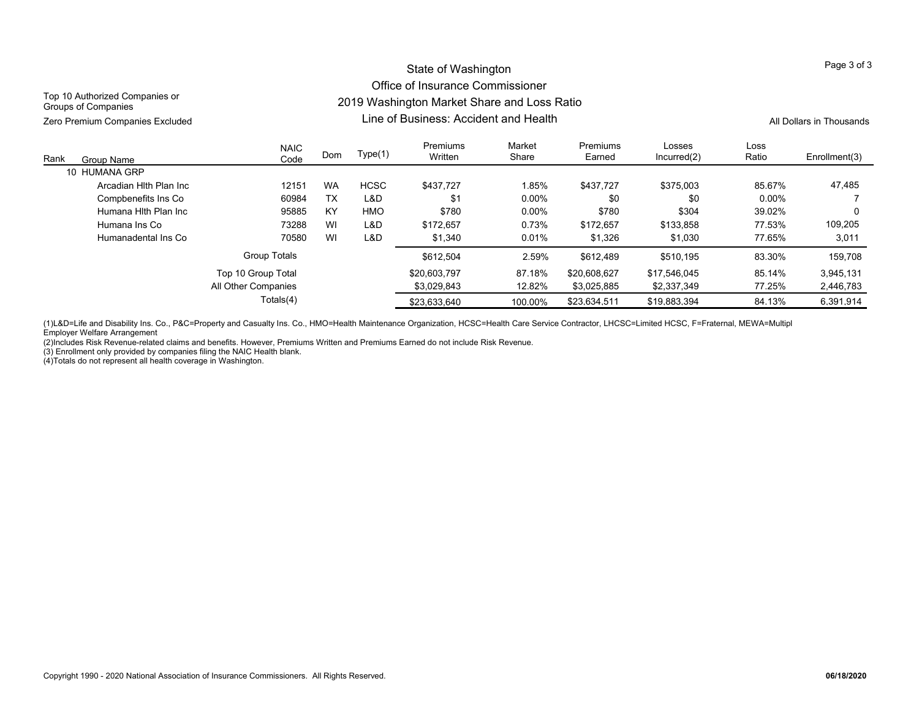## State of Washington Office of Insurance Commissioner 2019 Washington Market Share and Loss Ratio

Top 10 Authorized Companies or Groups of Companies

Line of Business: Accident and HealthZero Premium Companies Excluded The School Companies Companies Companies Companies Companies Companies Companies Companies Companies Companies Companies Companies Companies Companies Companies Companies Companies Companies

| Rank<br>Group Name     | <b>NAIC</b><br>Code | Dom       | Type(1)     | Premiums<br>Written | Market<br>Share | Premiums<br>Earned | Losses<br>Incurred(2) | Loss<br>Ratio | Enrollment(3) |
|------------------------|---------------------|-----------|-------------|---------------------|-----------------|--------------------|-----------------------|---------------|---------------|
| 10 HUMANA GRP          |                     |           |             |                     |                 |                    |                       |               |               |
| Arcadian Hith Plan Inc | 12151               | <b>WA</b> | <b>HCSC</b> | \$437.727           | 1.85%           | \$437.727          | \$375.003             | 85.67%        | 47,485        |
| Compbenefits Ins Co    | 60984               | <b>TX</b> | L&D         | \$1                 | $0.00\%$        | \$0                | \$0                   | $0.00\%$      |               |
| Humana Hith Plan Inc   | 95885               | KY        | HMO         | \$780               | 0.00%           | \$780              | \$304                 | 39.02%        |               |
| Humana Ins Co          | 73288               | WI        | L&D         | \$172.657           | 0.73%           | \$172.657          | \$133.858             | 77.53%        | 109.205       |
| Humanadental Ins Co    | 70580               | WI        | L&D         | \$1,340             | 0.01%           | \$1,326            | \$1.030               | 77.65%        | 3,011         |
|                        | <b>Group Totals</b> |           |             | \$612.504           | 2.59%           | \$612.489          | \$510.195             | 83.30%        | 159,708       |
|                        | Top 10 Group Total  |           |             | \$20,603.797        | 87.18%          | \$20,608,627       | \$17.546.045          | 85.14%        | 3.945.131     |
|                        | All Other Companies |           |             | \$3.029.843         | 12.82%          | \$3.025.885        | \$2.337.349           | 77.25%        | 2,446,783     |
|                        | Totals(4)           |           |             | \$23.633.640        | 100.00%         | \$23.634.511       | \$19.883.394          | 84.13%        | 6.391.914     |

(1)L&D=Life and Disability Ins. Co., P&C=Property and Casualty Ins. Co., HMO=Health Maintenance Organization, HCSC=Health Care Service Contractor, LHCSC=Limited HCSC, F=Fraternal, MEWA=Multipl Employer Welfare Arrangement

(2)Includes Risk Revenue-related claims and benefits. However, Premiums Written and Premiums Earned do not include Risk Revenue.

(3) Enrollment only provided by companies filing the NAIC Health blank.

(4)Totals do not represent all health coverage in Washington.

Page 3 of 3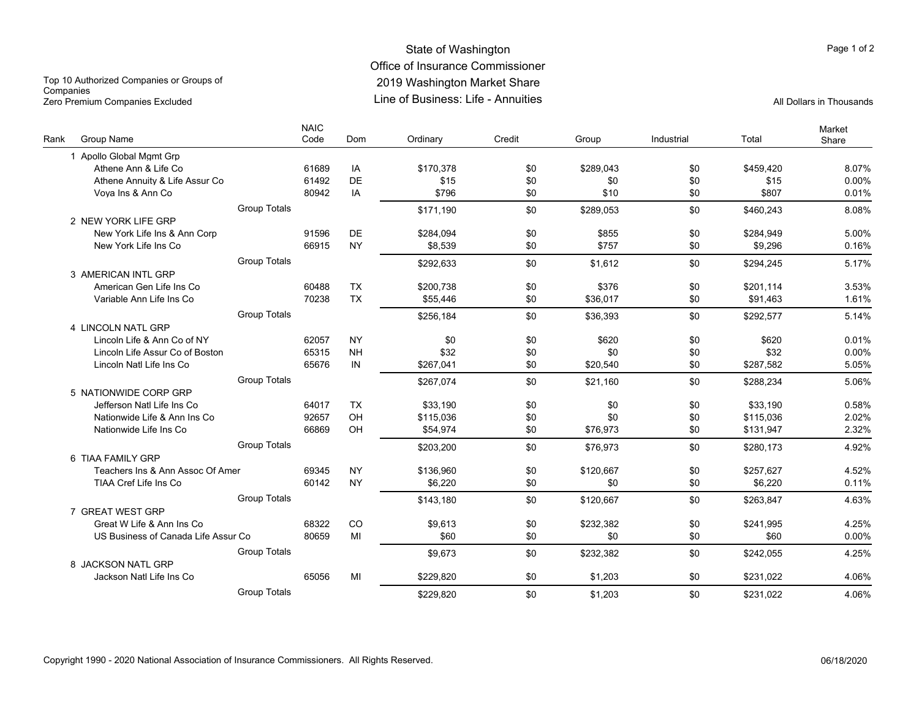### State of Washington Office of Insurance Commissioner 2019 Washington Market Share Line of Business: Life - AnnuitiesZero Premium Companies Excluded All Dollars in Thousands

Top 10 Authorized Companies or Groups of **Companies** 

| Group Name<br>Rank                  | <b>NAIC</b><br>Code | Dom       | Ordinary  | Credit | Group     | Industrial | Total     | Market<br>Share |
|-------------------------------------|---------------------|-----------|-----------|--------|-----------|------------|-----------|-----------------|
| 1 Apollo Global Mgmt Grp            |                     |           |           |        |           |            |           |                 |
| Athene Ann & Life Co                | 61689               | IA        | \$170.378 | \$0    | \$289.043 | \$0        | \$459.420 | 8.07%           |
| Athene Annuity & Life Assur Co      | 61492               | DE        | \$15      | \$0    | \$0       | \$0        | \$15      | 0.00%           |
| Voya Ins & Ann Co                   | 80942               | IA        | \$796     | \$0    | \$10      | \$0        | \$807     | 0.01%           |
|                                     | <b>Group Totals</b> |           | \$171,190 | \$0    | \$289.053 | \$0        | \$460,243 | 8.08%           |
| 2 NEW YORK LIFE GRP                 |                     |           |           |        |           |            |           |                 |
| New York Life Ins & Ann Corp        | 91596               | DE        | \$284,094 | \$0    | \$855     | \$0        | \$284,949 | 5.00%           |
| New York Life Ins Co                | 66915               | <b>NY</b> | \$8.539   | \$0    | \$757     | \$0        | \$9,296   | 0.16%           |
|                                     | <b>Group Totals</b> |           | \$292,633 | \$0    | \$1.612   | \$0        | \$294.245 | 5.17%           |
| 3 AMERICAN INTL GRP                 |                     |           |           |        |           |            |           |                 |
| American Gen Life Ins Co            | 60488               | <b>TX</b> | \$200.738 | \$0    | \$376     | \$0        | \$201.114 | 3.53%           |
| Variable Ann Life Ins Co            | 70238               | <b>TX</b> | \$55,446  | \$0    | \$36,017  | \$0        | \$91,463  | 1.61%           |
|                                     | <b>Group Totals</b> |           | \$256,184 | \$0    | \$36,393  | \$0        | \$292,577 | 5.14%           |
| 4 LINCOLN NATL GRP                  |                     |           |           |        |           |            |           |                 |
| Lincoln Life & Ann Co of NY         | 62057               | <b>NY</b> | \$0       | \$0    | \$620     | \$0        | \$620     | 0.01%           |
| Lincoln Life Assur Co of Boston     | 65315               | <b>NH</b> | \$32      | \$0    | \$0       | \$0        | \$32      | 0.00%           |
| Lincoln Natl Life Ins Co            | 65676               | IN        | \$267,041 | \$0    | \$20.540  | \$0        | \$287,582 | 5.05%           |
|                                     | <b>Group Totals</b> |           | \$267.074 | \$0    | \$21.160  | \$0        | \$288.234 | 5.06%           |
| 5 NATIONWIDE CORP GRP               |                     |           |           |        |           |            |           |                 |
| Jefferson Natl Life Ins Co          | 64017               | <b>TX</b> | \$33,190  | \$0    | \$0       | \$0        | \$33,190  | 0.58%           |
| Nationwide Life & Ann Ins Co        | 92657               | OH        | \$115,036 | \$0    | \$0       | \$0        | \$115,036 | 2.02%           |
| Nationwide Life Ins Co              | 66869               | OH        | \$54.974  | \$0    | \$76,973  | \$0        | \$131,947 | 2.32%           |
|                                     | <b>Group Totals</b> |           | \$203.200 | \$0    | \$76.973  | \$0        | \$280.173 | 4.92%           |
| 6 TIAA FAMILY GRP                   |                     |           |           |        |           |            |           |                 |
| Teachers Ins & Ann Assoc Of Amer    | 69345               | <b>NY</b> | \$136,960 | \$0    | \$120,667 | \$0        | \$257,627 | 4.52%           |
| TIAA Cref Life Ins Co               | 60142               | <b>NY</b> | \$6.220   | \$0    | \$0       | \$0        | \$6,220   | 0.11%           |
|                                     | <b>Group Totals</b> |           | \$143,180 | \$0    | \$120,667 | \$0        | \$263,847 | 4.63%           |
| 7 GREAT WEST GRP                    |                     |           |           |        |           |            |           |                 |
| Great W Life & Ann Ins Co.          | 68322               | CO        | \$9,613   | \$0    | \$232,382 | \$0        | \$241,995 | 4.25%           |
| US Business of Canada Life Assur Co | 80659               | MI        | \$60      | \$0    | \$0       | \$0        | \$60      | 0.00%           |
|                                     | <b>Group Totals</b> |           | \$9,673   | \$0    | \$232,382 | \$0        | \$242,055 | 4.25%           |
| 8 JACKSON NATL GRP                  |                     |           |           |        |           |            |           |                 |
| Jackson Natl Life Ins Co            | 65056               | MI        | \$229,820 | \$0    | \$1,203   | \$0        | \$231,022 | 4.06%           |
|                                     | <b>Group Totals</b> |           | \$229.820 | \$0    | \$1.203   | \$0        | \$231.022 | 4.06%           |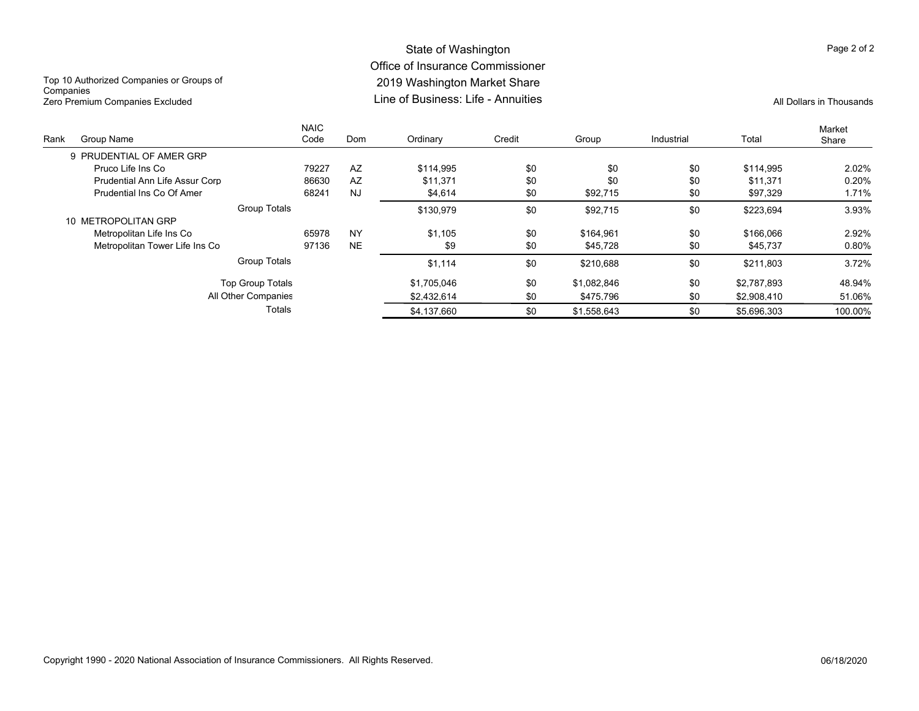### State of Washington Office of Insurance Commissioner 2019 Washington Market Share Line of Business: Life - AnnuitiesZero Premium Companies Excluded and the companies City of Business: Life - Annuities All Dollars in Thousands

Top 10 Authorized Companies or Groups of **Companies** 

| Rank | Group Name                            | <b>NAIC</b><br>Code | Dom       | Ordinary    | Credit | Group       | Industrial | Total       | Market<br>Share |
|------|---------------------------------------|---------------------|-----------|-------------|--------|-------------|------------|-------------|-----------------|
|      | 9 PRUDENTIAL OF AMER GRP              |                     |           |             |        |             |            |             |                 |
|      | Pruco Life Ins Co                     | 79227               | AZ        | \$114.995   | \$0    | \$0         | \$0        | \$114.995   | 2.02%           |
|      | <b>Prudential Ann Life Assur Corp</b> | 86630               | AZ        | \$11.371    | \$0    | \$0         | \$0        | \$11.371    | 0.20%           |
|      | Prudential Ins Co Of Amer             | 68241               | <b>NJ</b> | \$4,614     | \$0    | \$92,715    | \$0        | \$97,329    | 1.71%           |
|      |                                       | Group Totals        |           | \$130.979   | \$0    | \$92.715    | \$0        | \$223.694   | 3.93%           |
|      | 10 METROPOLITAN GRP                   |                     |           |             |        |             |            |             |                 |
|      | Metropolitan Life Ins Co              | 65978               | <b>NY</b> | \$1.105     | \$0    | \$164.961   | \$0        | \$166,066   | 2.92%           |
|      | Metropolitan Tower Life Ins Co        | 97136               | <b>NE</b> | \$9         | \$0    | \$45,728    | \$0        | \$45,737    | 0.80%           |
|      |                                       | Group Totals        |           | \$1,114     | \$0    | \$210.688   | \$0        | \$211,803   | 3.72%           |
|      | Top Group Totals                      |                     |           | \$1.705.046 | \$0    | \$1.082.846 | \$0        | \$2.787.893 | 48.94%          |
|      | All Other Companies                   |                     |           | \$2.432.614 | \$0    | \$475.796   | \$0        | \$2.908.410 | 51.06%          |
|      |                                       | Totals              |           | \$4.137.660 | \$0    | \$1.558.643 | \$0        | \$5.696.303 | 100.00%         |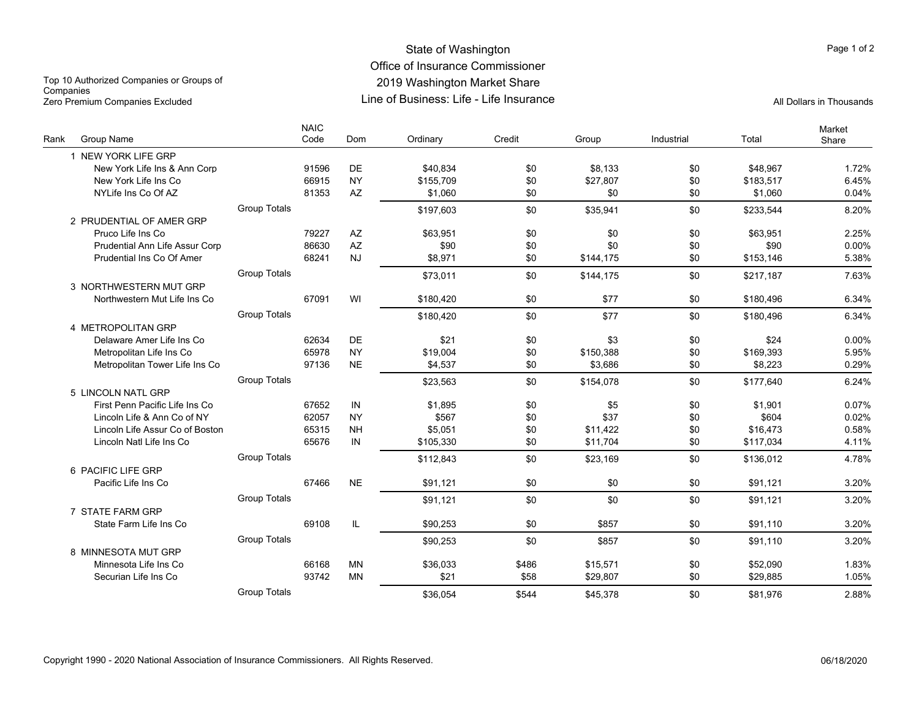### State of Washington Office of Insurance Commissioner 2019 Washington Market Share Line of Business: Life - Life InsuranceZero Premium Companies Excluded Line of Business: Life - Life Insurance All Dollars in Thousands

Top 10 Authorized Companies or Groups of **Companies** 

| <b>Group Name</b><br>Rank             | <b>NAIC</b>         | Code  | Dom                    | Ordinary  | Credit | Group     | Industrial | Total     | Market<br>Share |
|---------------------------------------|---------------------|-------|------------------------|-----------|--------|-----------|------------|-----------|-----------------|
| 1 NEW YORK LIFE GRP                   |                     |       |                        |           |        |           |            |           |                 |
| New York Life Ins & Ann Corp          |                     | 91596 | DE                     | \$40,834  | \$0    | \$8,133   | \$0        | \$48,967  | 1.72%           |
| New York Life Ins Co                  |                     | 66915 | <b>NY</b>              | \$155.709 | \$0    | \$27,807  | \$0        | \$183,517 | 6.45%           |
| NYLife Ins Co Of AZ                   |                     | 81353 | $\mathsf{A}\mathsf{Z}$ | \$1.060   | \$0    | \$0       | \$0        | \$1,060   | 0.04%           |
|                                       | <b>Group Totals</b> |       |                        | \$197,603 | \$0    | \$35,941  | \$0        | \$233,544 | 8.20%           |
| 2 PRUDENTIAL OF AMER GRP              |                     |       |                        |           |        |           |            |           |                 |
| Pruco Life Ins Co                     |                     | 79227 | AZ                     | \$63,951  | \$0    | \$0       | \$0        | \$63,951  | 2.25%           |
| <b>Prudential Ann Life Assur Corp</b> |                     | 86630 | AZ                     | \$90      | \$0    | \$0       | \$0        | \$90      | 0.00%           |
| Prudential Ins Co Of Amer             |                     | 68241 | NJ                     | \$8.971   | \$0    | \$144,175 | \$0        | \$153,146 | 5.38%           |
|                                       | <b>Group Totals</b> |       |                        | \$73,011  | \$0    | \$144,175 | \$0        | \$217.187 | 7.63%           |
| 3 NORTHWESTERN MUT GRP                |                     |       |                        |           |        |           |            |           |                 |
| Northwestern Mut Life Ins Co          |                     | 67091 | WI                     | \$180,420 | \$0    | \$77      | \$0        | \$180,496 | 6.34%           |
|                                       | <b>Group Totals</b> |       |                        | \$180,420 | \$0    | \$77      | \$0        | \$180,496 | 6.34%           |
| 4 METROPOLITAN GRP                    |                     |       |                        |           |        |           |            |           |                 |
| Delaware Amer Life Ins Co             |                     | 62634 | DE                     | \$21      | \$0    | \$3       | \$0        | \$24      | 0.00%           |
| Metropolitan Life Ins Co              |                     | 65978 | <b>NY</b>              | \$19,004  | \$0    | \$150,388 | \$0        | \$169,393 | 5.95%           |
| Metropolitan Tower Life Ins Co        |                     | 97136 | <b>NE</b>              | \$4,537   | \$0    | \$3,686   | \$0        | \$8,223   | 0.29%           |
|                                       | <b>Group Totals</b> |       |                        | \$23.563  | \$0    | \$154.078 | \$0        | \$177.640 | 6.24%           |
| 5 LINCOLN NATL GRP                    |                     |       |                        |           |        |           |            |           |                 |
| First Penn Pacific Life Ins Co        |                     | 67652 | IN                     | \$1,895   | \$0    | \$5       | \$0        | \$1,901   | 0.07%           |
| Lincoln Life & Ann Co of NY           |                     | 62057 | <b>NY</b>              | \$567     | \$0    | \$37      | \$0        | \$604     | 0.02%           |
| Lincoln Life Assur Co of Boston       |                     | 65315 | <b>NH</b>              | \$5,051   | \$0    | \$11,422  | \$0        | \$16,473  | 0.58%           |
| Lincoln Natl Life Ins Co              |                     | 65676 | IN                     | \$105,330 | \$0    | \$11,704  | \$0        | \$117,034 | 4.11%           |
|                                       | <b>Group Totals</b> |       |                        | \$112,843 | \$0    | \$23,169  | \$0        | \$136,012 | 4.78%           |
| 6 PACIFIC LIFE GRP                    |                     |       |                        |           |        |           |            |           |                 |
| Pacific Life Ins Co                   |                     | 67466 | <b>NE</b>              | \$91,121  | \$0    | \$0       | \$0        | \$91,121  | 3.20%           |
|                                       | <b>Group Totals</b> |       |                        | \$91,121  | \$0    | \$0       | \$0        | \$91,121  | 3.20%           |
| 7 STATE FARM GRP                      |                     |       |                        |           |        |           |            |           |                 |
| State Farm Life Ins Co                |                     | 69108 | IL                     | \$90,253  | \$0    | \$857     | \$0        | \$91.110  | 3.20%           |
|                                       | <b>Group Totals</b> |       |                        | \$90,253  | \$0    | \$857     | \$0        | \$91,110  | 3.20%           |
| 8 MINNESOTA MUT GRP                   |                     |       |                        |           |        |           |            |           |                 |
| Minnesota Life Ins Co                 |                     | 66168 | MN                     | \$36,033  | \$486  | \$15,571  | \$0        | \$52,090  | 1.83%           |
| Securian Life Ins Co                  |                     | 93742 | <b>MN</b>              | \$21      | \$58   | \$29,807  | \$0        | \$29,885  | 1.05%           |
|                                       | <b>Group Totals</b> |       |                        | \$36.054  | \$544  | \$45.378  | \$0        | \$81.976  | 2.88%           |

Page 1 of 2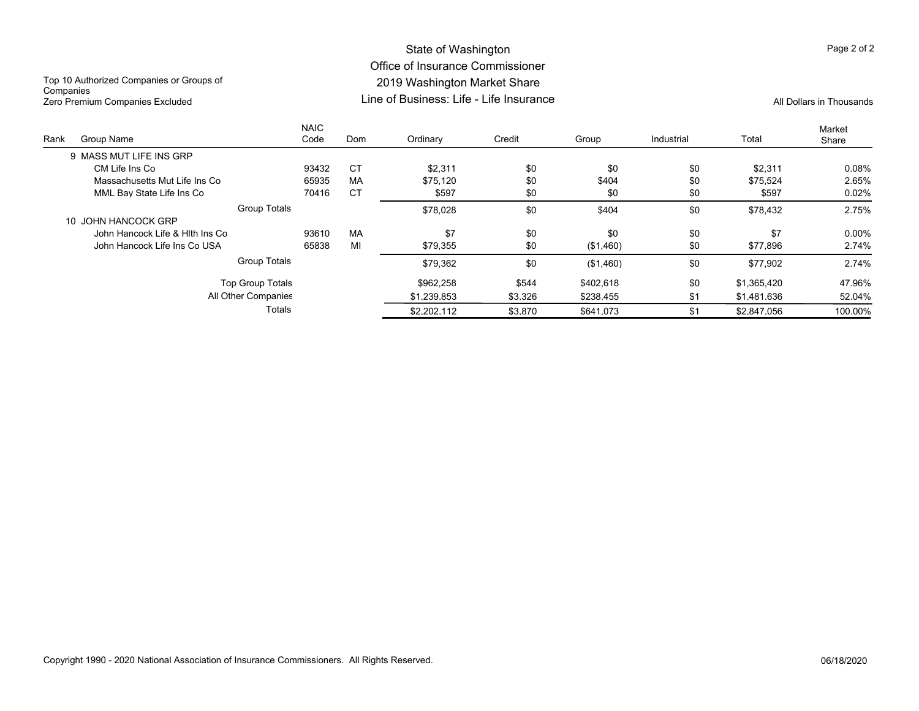## State of Washington Office of Insurance Commissioner 2019 Washington Market Share Line of Business: Life - Life Insurance

Top 10 Authorized Companies or Groups of **Companies** Zero Premium Companies Excluded All Dollars in Thousands

|      |                                 | <b>NAIC</b> |           |             |         |           |            |             | Market  |
|------|---------------------------------|-------------|-----------|-------------|---------|-----------|------------|-------------|---------|
| Rank | Group Name                      | Code        | Dom       | Ordinary    | Credit  | Group     | Industrial | Total       | Share   |
|      | 9 MASS MUT LIFE INS GRP         |             |           |             |         |           |            |             |         |
|      | CM Life Ins Co                  | 93432       | <b>CT</b> | \$2.311     | \$0     | \$0       | \$0        | \$2,311     | 0.08%   |
|      | Massachusetts Mut Life Ins Co   | 65935       | МA        | \$75.120    | \$0     | \$404     | \$0        | \$75,524    | 2.65%   |
|      | MML Bay State Life Ins Co       | 70416       | <b>CT</b> | \$597       | \$0     | \$0       | \$0        | \$597       | 0.02%   |
|      | <b>Group Totals</b>             |             |           | \$78.028    | \$0     | \$404     | \$0        | \$78,432    | 2.75%   |
|      | 10 JOHN HANCOCK GRP             |             |           |             |         |           |            |             |         |
|      | John Hancock Life & Hith Ins Co | 93610       | MA        | \$7         | \$0     | \$0       | \$0        | \$7         | 0.00%   |
|      | John Hancock Life Ins Co USA    | 65838       | MI        | \$79,355    | \$0     | (\$1,460) | \$0        | \$77,896    | 2.74%   |
|      | <b>Group Totals</b>             |             |           | \$79,362    | \$0     | (\$1,460) | \$0        | \$77,902    | 2.74%   |
|      | <b>Top Group Totals</b>         |             |           | \$962.258   | \$544   | \$402.618 | \$0        | \$1.365.420 | 47.96%  |
|      | All Other Companies             |             |           | \$1.239.853 | \$3,326 | \$238,455 | \$1        | \$1,481,636 | 52.04%  |
|      | Totals                          |             |           | \$2.202.112 | \$3.870 | \$641.073 | \$1        | \$2.847.056 | 100.00% |
|      |                                 |             |           |             |         |           |            |             |         |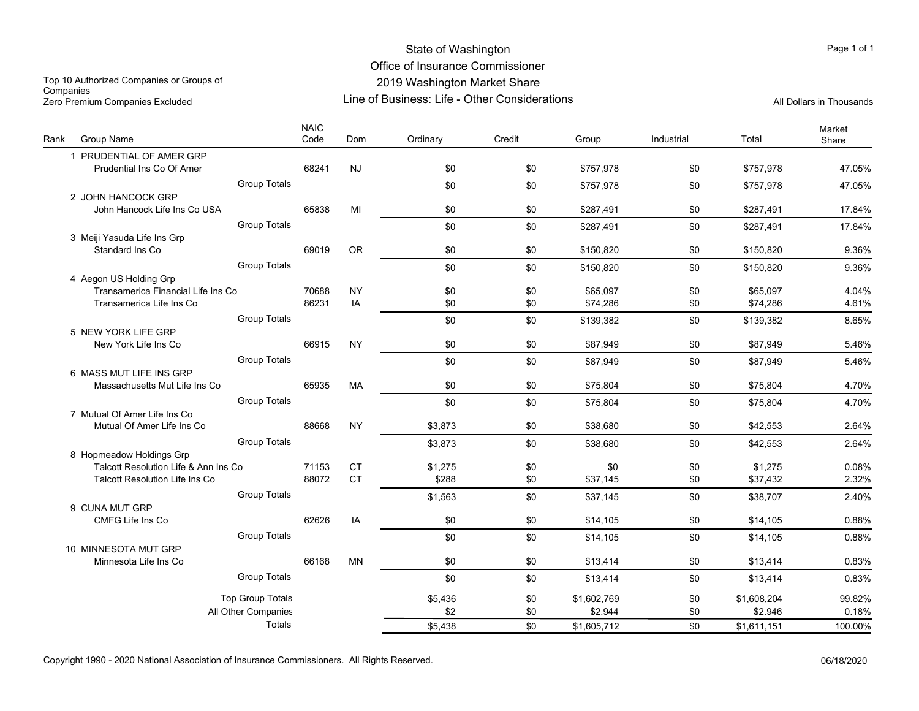## State of Washington Office of Insurance Commissioner 2019 Washington Market Share

Top 10 Authorized Companies or Groups of **Companies** Zero Premium Companies Excluded Companies Excluded Companies Companies (Call Dollars in Thousands Life - Other Considerations All Dollars in Thousands All Dollars in Thousands

Line of Business: Life - Other Considerations

| Rank | Group Name                                                                    |                         | <b>NAIC</b><br>Code | Dom                    | Ordinary         | Credit | Group       | Industrial | Total       | Market<br>Share |
|------|-------------------------------------------------------------------------------|-------------------------|---------------------|------------------------|------------------|--------|-------------|------------|-------------|-----------------|
|      | 1 PRUDENTIAL OF AMER GRP                                                      |                         |                     |                        |                  |        |             |            |             |                 |
|      | Prudential Ins Co Of Amer                                                     |                         | 68241               | <b>NJ</b>              | \$0              | \$0    | \$757,978   | \$0        | \$757,978   | 47.05%          |
|      |                                                                               | <b>Group Totals</b>     |                     |                        | \$0              | \$0    | \$757.978   | \$0        | \$757,978   | 47.05%          |
|      | 2 JOHN HANCOCK GRP                                                            |                         |                     |                        |                  |        |             |            |             |                 |
|      | John Hancock Life Ins Co USA                                                  |                         | 65838               | MI                     | \$0              | \$0    | \$287.491   | \$0        | \$287,491   | 17.84%          |
|      |                                                                               | <b>Group Totals</b>     |                     |                        | \$0              | \$0    | \$287,491   | \$0        | \$287,491   | 17.84%          |
|      | 3 Meiji Yasuda Life Ins Grp                                                   |                         |                     |                        |                  |        |             |            |             |                 |
|      | Standard Ins Co                                                               |                         | 69019               | <b>OR</b>              | \$0              | \$0    | \$150,820   | \$0        | \$150,820   | 9.36%           |
|      |                                                                               | <b>Group Totals</b>     |                     |                        | \$0              | \$0    | \$150,820   | \$0        | \$150,820   | 9.36%           |
|      | 4 Aegon US Holding Grp                                                        |                         |                     |                        |                  |        |             |            |             |                 |
|      | Transamerica Financial Life Ins Co                                            |                         | 70688               | <b>NY</b>              | \$0              | \$0    | \$65.097    | \$0        | \$65,097    | 4.04%           |
|      | Transamerica Life Ins Co                                                      |                         | 86231               | IA                     | \$0              | \$0    | \$74,286    | \$0        | \$74,286    | 4.61%           |
|      |                                                                               | <b>Group Totals</b>     |                     |                        | \$0              | \$0    | \$139,382   | \$0        | \$139,382   | 8.65%           |
|      | 5 NEW YORK LIFE GRP                                                           |                         |                     |                        |                  |        |             |            |             |                 |
|      | New York Life Ins Co                                                          |                         | 66915               | <b>NY</b>              | \$0              | \$0    | \$87,949    | \$0        | \$87,949    | 5.46%           |
|      |                                                                               | <b>Group Totals</b>     |                     |                        | \$0              | \$0    | \$87.949    | \$0        | \$87,949    | 5.46%           |
|      | 6 MASS MUT LIFE INS GRP                                                       |                         |                     |                        |                  |        |             |            |             |                 |
|      | Massachusetts Mut Life Ins Co                                                 |                         | 65935               | <b>MA</b>              | \$0              | \$0    | \$75,804    | \$0        | \$75,804    | 4.70%           |
|      |                                                                               | <b>Group Totals</b>     |                     |                        | \$0              | \$0    | \$75,804    | \$0        | \$75,804    | 4.70%           |
|      | 7 Mutual Of Amer Life Ins Co                                                  |                         |                     |                        |                  |        |             |            |             |                 |
|      | Mutual Of Amer Life Ins Co                                                    |                         | 88668               | <b>NY</b>              | \$3,873          | \$0    | \$38,680    | \$0        | \$42,553    | 2.64%           |
|      |                                                                               | <b>Group Totals</b>     |                     |                        | \$3,873          | \$0    | \$38,680    | \$0        | \$42,553    | 2.64%           |
|      | 8 Hopmeadow Holdings Grp                                                      |                         |                     |                        |                  |        |             |            |             |                 |
|      | Talcott Resolution Life & Ann Ins Co<br><b>Talcott Resolution Life Ins Co</b> |                         | 71153<br>88072      | <b>CT</b><br><b>CT</b> | \$1,275<br>\$288 | \$0    | \$0         | \$0<br>\$0 | \$1,275     | 0.08%<br>2.32%  |
|      |                                                                               |                         |                     |                        |                  | \$0    | \$37,145    |            | \$37,432    |                 |
|      |                                                                               | <b>Group Totals</b>     |                     |                        | \$1,563          | \$0    | \$37,145    | \$0        | \$38,707    | 2.40%           |
|      | 9 CUNA MUT GRP<br>CMFG Life Ins Co                                            |                         | 62626               | IA                     | \$0              | \$0    | \$14,105    | \$0        | \$14,105    | 0.88%           |
|      |                                                                               |                         |                     |                        |                  |        |             |            |             |                 |
|      |                                                                               | <b>Group Totals</b>     |                     |                        | \$0              | \$0    | \$14,105    | \$0        | \$14,105    | 0.88%           |
|      | 10 MINNESOTA MUT GRP<br>Minnesota Life Ins Co                                 |                         | 66168               | <b>MN</b>              | \$0              | \$0    | \$13,414    | \$0        | \$13,414    | 0.83%           |
|      |                                                                               |                         |                     |                        |                  |        |             |            |             |                 |
|      |                                                                               | <b>Group Totals</b>     |                     |                        | \$0              | \$0    | \$13,414    | \$0        | \$13,414    | 0.83%           |
|      |                                                                               | <b>Top Group Totals</b> |                     |                        | \$5,436          | \$0    | \$1.602.769 | \$0        | \$1,608,204 | 99.82%          |
|      |                                                                               | All Other Companies     |                     |                        | \$2              | \$0    | \$2.944     | \$0        | \$2,946     | 0.18%           |
|      |                                                                               | Totals                  |                     |                        | \$5,438          | \$0    | \$1,605,712 | \$0        | \$1,611,151 | 100.00%         |
|      |                                                                               |                         |                     |                        |                  |        |             |            |             |                 |

Copyright 1990 - 2020 National Association of Insurance Commissioners. All Rights Reserved. 06/18/2020

Page 1 of 1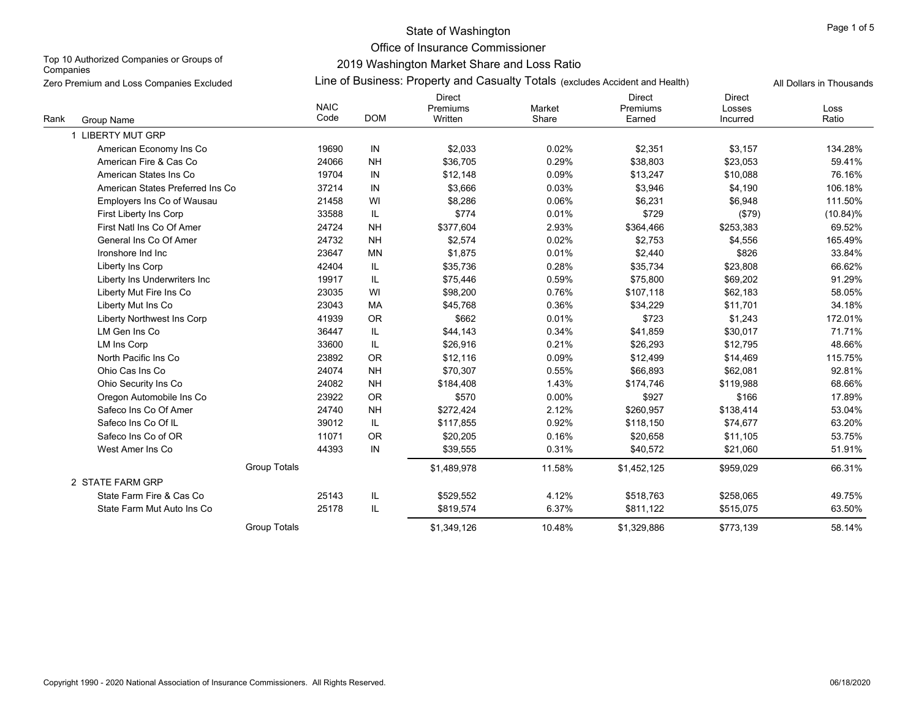Office of Insurance Commissioner

Top 10 Authorized Companies or Groups of **Companies** 

| Zero Premium and Loss Companies Excluded | Line of Business: Property and Casualty Totals (excludes Accident and Health)<br>All Dollars in Thousands |            |                               |                 |                                     |                              |               |  |  |  |  |
|------------------------------------------|-----------------------------------------------------------------------------------------------------------|------------|-------------------------------|-----------------|-------------------------------------|------------------------------|---------------|--|--|--|--|
| Rank<br>Group Name                       | <b>NAIC</b><br>Code                                                                                       | <b>DOM</b> | Direct<br>Premiums<br>Written | Market<br>Share | <b>Direct</b><br>Premiums<br>Earned | Direct<br>Losses<br>Incurred | Loss<br>Ratio |  |  |  |  |
| 1 LIBERTY MUT GRP                        |                                                                                                           |            |                               |                 |                                     |                              |               |  |  |  |  |
| American Economy Ins Co                  | 19690                                                                                                     | IN         | \$2,033                       | 0.02%           | \$2,351                             | \$3,157                      | 134.28%       |  |  |  |  |
| American Fire & Cas Co                   | 24066                                                                                                     | <b>NH</b>  | \$36,705                      | 0.29%           | \$38,803                            | \$23,053                     | 59.41%        |  |  |  |  |
| American States Ins Co                   | 19704                                                                                                     | IN         | \$12,148                      | 0.09%           | \$13,247                            | \$10,088                     | 76.16%        |  |  |  |  |
| American States Preferred Ins Co         | 37214                                                                                                     | IN         | \$3,666                       | 0.03%           | \$3,946                             | \$4,190                      | 106.18%       |  |  |  |  |
| Employers Ins Co of Wausau               | 21458                                                                                                     | WI         | \$8,286                       | 0.06%           | \$6,231                             | \$6,948                      | 111.50%       |  |  |  |  |
| First Liberty Ins Corp                   | 33588                                                                                                     | IL.        | \$774                         | 0.01%           | \$729                               | (\$79)                       | $(10.84)\%$   |  |  |  |  |
| First Natl Ins Co Of Amer                | 24724                                                                                                     | <b>NH</b>  | \$377,604                     | 2.93%           | \$364,466                           | \$253,383                    | 69.52%        |  |  |  |  |
| General Ins Co Of Amer                   | 24732                                                                                                     | <b>NH</b>  | \$2,574                       | 0.02%           | \$2,753                             | \$4,556                      | 165.49%       |  |  |  |  |
| Ironshore Ind Inc                        | 23647                                                                                                     | <b>MN</b>  | \$1,875                       | 0.01%           | \$2,440                             | \$826                        | 33.84%        |  |  |  |  |
| Liberty Ins Corp                         | 42404                                                                                                     | IL.        | \$35,736                      | 0.28%           | \$35,734                            | \$23,808                     | 66.62%        |  |  |  |  |
| Liberty Ins Underwriters Inc             | 19917                                                                                                     | IL         | \$75,446                      | 0.59%           | \$75,800                            | \$69,202                     | 91.29%        |  |  |  |  |
| Liberty Mut Fire Ins Co                  | 23035                                                                                                     | WI         | \$98,200                      | 0.76%           | \$107,118                           | \$62,183                     | 58.05%        |  |  |  |  |
| Liberty Mut Ins Co                       | 23043                                                                                                     | MA         | \$45,768                      | 0.36%           | \$34,229                            | \$11,701                     | 34.18%        |  |  |  |  |
| Liberty Northwest Ins Corp               | 41939                                                                                                     | OR         | \$662                         | 0.01%           | \$723                               | \$1,243                      | 172.01%       |  |  |  |  |
| LM Gen Ins Co                            | 36447                                                                                                     | IL.        | \$44,143                      | 0.34%           | \$41,859                            | \$30,017                     | 71.71%        |  |  |  |  |
| LM Ins Corp                              | 33600                                                                                                     | IL.        | \$26,916                      | 0.21%           | \$26,293                            | \$12,795                     | 48.66%        |  |  |  |  |
| North Pacific Ins Co                     | 23892                                                                                                     | OR         | \$12,116                      | 0.09%           | \$12,499                            | \$14,469                     | 115.75%       |  |  |  |  |
| Ohio Cas Ins Co                          | 24074                                                                                                     | <b>NH</b>  | \$70,307                      | 0.55%           | \$66,893                            | \$62,081                     | 92.81%        |  |  |  |  |
| Ohio Security Ins Co                     | 24082                                                                                                     | <b>NH</b>  | \$184,408                     | 1.43%           | \$174,746                           | \$119,988                    | 68.66%        |  |  |  |  |
| Oregon Automobile Ins Co                 | 23922                                                                                                     | OR         | \$570                         | 0.00%           | \$927                               | \$166                        | 17.89%        |  |  |  |  |
| Safeco Ins Co Of Amer                    | 24740                                                                                                     | <b>NH</b>  | \$272,424                     | 2.12%           | \$260,957                           | \$138,414                    | 53.04%        |  |  |  |  |
| Safeco Ins Co Of IL                      | 39012                                                                                                     | IL         | \$117,855                     | 0.92%           | \$118,150                           | \$74,677                     | 63.20%        |  |  |  |  |
| Safeco Ins Co of OR                      | 11071                                                                                                     | <b>OR</b>  | \$20,205                      | 0.16%           | \$20,658                            | \$11,105                     | 53.75%        |  |  |  |  |
| West Amer Ins Co                         | 44393                                                                                                     | IN         | \$39,555                      | 0.31%           | \$40,572                            | \$21,060                     | 51.91%        |  |  |  |  |
|                                          | <b>Group Totals</b>                                                                                       |            | \$1,489,978                   | 11.58%          | \$1,452,125                         | \$959,029                    | 66.31%        |  |  |  |  |
| 2 STATE FARM GRP                         |                                                                                                           |            |                               |                 |                                     |                              |               |  |  |  |  |
| State Farm Fire & Cas Co                 | 25143                                                                                                     | IL.        | \$529,552                     | 4.12%           | \$518,763                           | \$258,065                    | 49.75%        |  |  |  |  |
| State Farm Mut Auto Ins Co               | 25178                                                                                                     | IL         | \$819,574                     | 6.37%           | \$811,122                           | \$515,075                    | 63.50%        |  |  |  |  |
|                                          | <b>Group Totals</b>                                                                                       |            | \$1,349,126                   | 10.48%          | \$1.329.886                         | \$773.139                    | 58.14%        |  |  |  |  |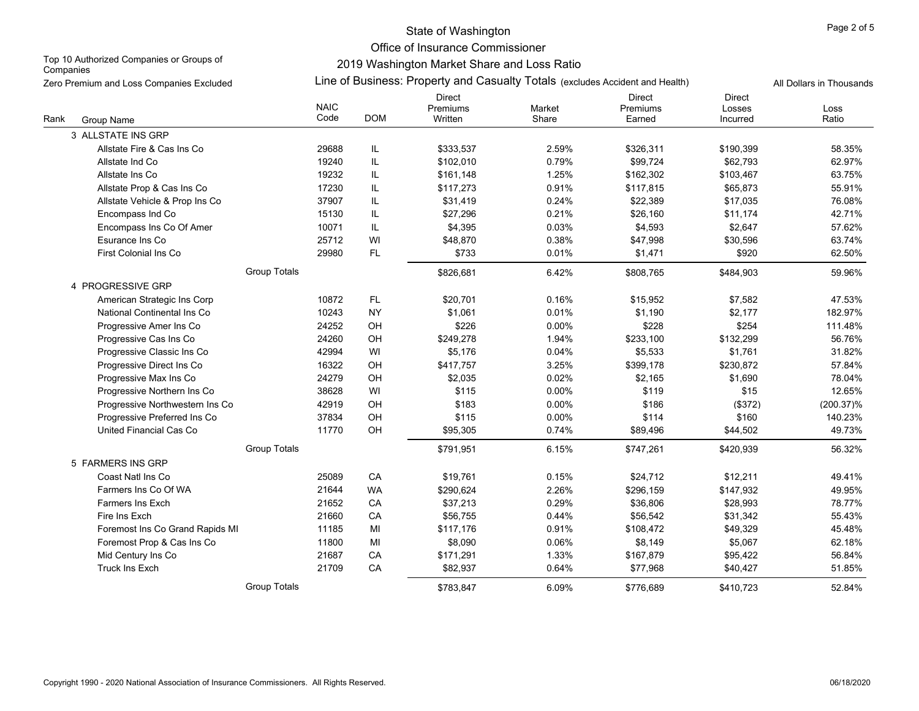Office of Insurance Commissioner

Top 10 Authorized Companies or Groups of **Companies** 

| Zero Premium and Loss Companies Excluded |                                 |                     | Line of Business: Property and Casualty Totals (excludes Accident and Health) |                                      |                 |                                     |                                     |               |
|------------------------------------------|---------------------------------|---------------------|-------------------------------------------------------------------------------|--------------------------------------|-----------------|-------------------------------------|-------------------------------------|---------------|
| Rank                                     | Group Name                      | <b>NAIC</b><br>Code | <b>DOM</b>                                                                    | <b>Direct</b><br>Premiums<br>Written | Market<br>Share | <b>Direct</b><br>Premiums<br>Earned | <b>Direct</b><br>Losses<br>Incurred | Loss<br>Ratio |
|                                          | 3 ALLSTATE INS GRP              |                     |                                                                               |                                      |                 |                                     |                                     |               |
|                                          | Allstate Fire & Cas Ins Co      | 29688               | IL                                                                            | \$333,537                            | 2.59%           | \$326,311                           | \$190,399                           | 58.35%        |
|                                          | Allstate Ind Co                 | 19240               | IL                                                                            | \$102,010                            | 0.79%           | \$99,724                            | \$62,793                            | 62.97%        |
|                                          | Allstate Ins Co                 | 19232               | IL                                                                            | \$161,148                            | 1.25%           | \$162,302                           | \$103,467                           | 63.75%        |
|                                          | Allstate Prop & Cas Ins Co      | 17230               | IL                                                                            | \$117,273                            | 0.91%           | \$117,815                           | \$65,873                            | 55.91%        |
|                                          | Allstate Vehicle & Prop Ins Co  | 37907               | IL                                                                            | \$31,419                             | 0.24%           | \$22,389                            | \$17,035                            | 76.08%        |
|                                          | Encompass Ind Co                | 15130               | IL                                                                            | \$27,296                             | 0.21%           | \$26,160                            | \$11,174                            | 42.71%        |
|                                          | Encompass Ins Co Of Amer        | 10071               | IL                                                                            | \$4,395                              | 0.03%           | \$4,593                             | \$2,647                             | 57.62%        |
|                                          | Esurance Ins Co                 | 25712               | WI                                                                            | \$48,870                             | 0.38%           | \$47,998                            | \$30,596                            | 63.74%        |
|                                          | First Colonial Ins Co           | 29980               | FL.                                                                           | \$733                                | 0.01%           | \$1,471                             | \$920                               | 62.50%        |
|                                          | <b>Group Totals</b>             |                     |                                                                               | \$826,681                            | 6.42%           | \$808,765                           | \$484,903                           | 59.96%        |
|                                          | 4 PROGRESSIVE GRP               |                     |                                                                               |                                      |                 |                                     |                                     |               |
|                                          | American Strategic Ins Corp     | 10872               | <b>FL</b>                                                                     | \$20,701                             | 0.16%           | \$15,952                            | \$7,582                             | 47.53%        |
|                                          | National Continental Ins Co     | 10243               | <b>NY</b>                                                                     | \$1,061                              | 0.01%           | \$1,190                             | \$2,177                             | 182.97%       |
|                                          | Progressive Amer Ins Co         | 24252               | OH                                                                            | \$226                                | 0.00%           | \$228                               | \$254                               | 111.48%       |
|                                          | Progressive Cas Ins Co          | 24260               | OH                                                                            | \$249,278                            | 1.94%           | \$233,100                           | \$132,299                           | 56.76%        |
|                                          | Progressive Classic Ins Co      | 42994               | WI                                                                            | \$5,176                              | 0.04%           | \$5,533                             | \$1,761                             | 31.82%        |
|                                          | Progressive Direct Ins Co       | 16322               | OH                                                                            | \$417,757                            | 3.25%           | \$399,178                           | \$230,872                           | 57.84%        |
|                                          | Progressive Max Ins Co          | 24279               | OH                                                                            | \$2,035                              | 0.02%           | \$2,165                             | \$1,690                             | 78.04%        |
|                                          | Progressive Northern Ins Co     | 38628               | WI                                                                            | \$115                                | 0.00%           | \$119                               | \$15                                | 12.65%        |
|                                          | Progressive Northwestern Ins Co | 42919               | OH                                                                            | \$183                                | 0.00%           | \$186                               | (\$372)                             | $(200.37)\%$  |
|                                          | Progressive Preferred Ins Co    | 37834               | OH                                                                            | \$115                                | 0.00%           | \$114                               | \$160                               | 140.23%       |
|                                          | United Financial Cas Co         | 11770               | OH                                                                            | \$95,305                             | 0.74%           | \$89,496                            | \$44,502                            | 49.73%        |
|                                          | <b>Group Totals</b>             |                     |                                                                               | \$791,951                            | 6.15%           | \$747,261                           | \$420,939                           | 56.32%        |
|                                          | 5 FARMERS INS GRP               |                     |                                                                               |                                      |                 |                                     |                                     |               |
|                                          | Coast Natl Ins Co               | 25089               | CA                                                                            | \$19,761                             | 0.15%           | \$24,712                            | \$12,211                            | 49.41%        |
|                                          | Farmers Ins Co Of WA            | 21644               | <b>WA</b>                                                                     | \$290,624                            | 2.26%           | \$296,159                           | \$147,932                           | 49.95%        |
|                                          | <b>Farmers Ins Exch</b>         | 21652               | CA                                                                            | \$37,213                             | 0.29%           | \$36,806                            | \$28,993                            | 78.77%        |
|                                          | Fire Ins Exch                   | 21660               | CA                                                                            | \$56,755                             | 0.44%           | \$56,542                            | \$31,342                            | 55.43%        |
|                                          | Foremost Ins Co Grand Rapids MI | 11185               | MI                                                                            | \$117,176                            | 0.91%           | \$108,472                           | \$49,329                            | 45.48%        |
|                                          | Foremost Prop & Cas Ins Co      | 11800               | MI                                                                            | \$8,090                              | 0.06%           | \$8,149                             | \$5,067                             | 62.18%        |
|                                          | Mid Century Ins Co              | 21687               | CA                                                                            | \$171,291                            | 1.33%           | \$167,879                           | \$95,422                            | 56.84%        |
|                                          | <b>Truck Ins Exch</b>           | 21709               | CA                                                                            | \$82,937                             | 0.64%           | \$77,968                            | \$40,427                            | 51.85%        |
|                                          | <b>Group Totals</b>             |                     |                                                                               | \$783,847                            | 6.09%           | \$776,689                           | \$410,723                           | 52.84%        |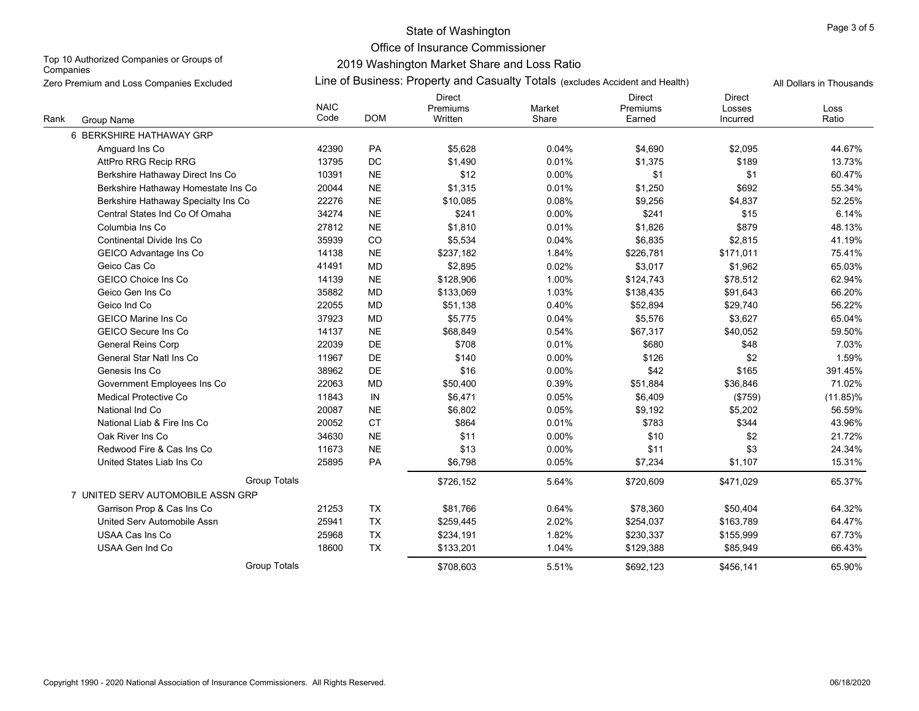Office of Insurance Commissioner

Top 10 Authorized Companies or Groups of **Companies** 

| Zero Premium and Loss Companies Excluded |                                     |                     | Line of Business: Property and Casualty Totals (excludes Accident and Health) |                               |                 |                                     |                                     |               |  |  |
|------------------------------------------|-------------------------------------|---------------------|-------------------------------------------------------------------------------|-------------------------------|-----------------|-------------------------------------|-------------------------------------|---------------|--|--|
| Rank                                     | Group Name                          | <b>NAIC</b><br>Code | <b>DOM</b>                                                                    | Direct<br>Premiums<br>Written | Market<br>Share | <b>Direct</b><br>Premiums<br>Earned | <b>Direct</b><br>Losses<br>Incurred | Loss<br>Ratio |  |  |
|                                          | 6 BERKSHIRE HATHAWAY GRP            |                     |                                                                               |                               |                 |                                     |                                     |               |  |  |
|                                          | Amguard Ins Co                      | 42390               | PA                                                                            | \$5,628                       | 0.04%           | \$4,690                             | \$2,095                             | 44.67%        |  |  |
|                                          | AttPro RRG Recip RRG                | 13795               | DC                                                                            | \$1,490                       | 0.01%           | \$1,375                             | \$189                               | 13.73%        |  |  |
|                                          | Berkshire Hathaway Direct Ins Co    | 10391               | <b>NE</b>                                                                     | \$12                          | 0.00%           | \$1                                 | \$1                                 | 60.47%        |  |  |
|                                          | Berkshire Hathaway Homestate Ins Co | 20044               | <b>NE</b>                                                                     | \$1,315                       | 0.01%           | \$1,250                             | \$692                               | 55.34%        |  |  |
|                                          | Berkshire Hathaway Specialty Ins Co | 22276               | <b>NE</b>                                                                     | \$10,085                      | 0.08%           | \$9,256                             | \$4,837                             | 52.25%        |  |  |
|                                          | Central States Ind Co Of Omaha      | 34274               | <b>NE</b>                                                                     | \$241                         | 0.00%           | \$241                               | \$15                                | 6.14%         |  |  |
|                                          | Columbia Ins Co                     | 27812               | <b>NE</b>                                                                     | \$1,810                       | 0.01%           | \$1,826                             | \$879                               | 48.13%        |  |  |
|                                          | Continental Divide Ins Co           | 35939               | CO                                                                            | \$5,534                       | 0.04%           | \$6,835                             | \$2,815                             | 41.19%        |  |  |
|                                          | GEICO Advantage Ins Co              | 14138               | <b>NE</b>                                                                     | \$237,182                     | 1.84%           | \$226,781                           | \$171,011                           | 75.41%        |  |  |
|                                          | Geico Cas Co                        | 41491               | MD                                                                            | \$2,895                       | 0.02%           | \$3,017                             | \$1,962                             | 65.03%        |  |  |
|                                          | <b>GEICO Choice Ins Co</b>          | 14139               | <b>NE</b>                                                                     | \$128,906                     | 1.00%           | \$124,743                           | \$78,512                            | 62.94%        |  |  |
|                                          | Geico Gen Ins Co                    | 35882               | MD                                                                            | \$133,069                     | 1.03%           | \$138,435                           | \$91,643                            | 66.20%        |  |  |
|                                          | Geico Ind Co                        | 22055               | MD                                                                            | \$51,138                      | 0.40%           | \$52,894                            | \$29,740                            | 56.22%        |  |  |
|                                          | <b>GEICO Marine Ins Co</b>          | 37923               | MD                                                                            | \$5,775                       | 0.04%           | \$5,576                             | \$3,627                             | 65.04%        |  |  |
|                                          | <b>GEICO Secure Ins Co</b>          | 14137               | <b>NE</b>                                                                     | \$68,849                      | 0.54%           | \$67,317                            | \$40,052                            | 59.50%        |  |  |
|                                          | <b>General Reins Corp</b>           | 22039               | DE                                                                            | \$708                         | 0.01%           | \$680                               | \$48                                | 7.03%         |  |  |
|                                          | General Star Natl Ins Co            | 11967               | DE                                                                            | \$140                         | 0.00%           | \$126                               | \$2                                 | 1.59%         |  |  |
|                                          | Genesis Ins Co                      | 38962               | DE                                                                            | \$16                          | 0.00%           | \$42                                | \$165                               | 391.45%       |  |  |
|                                          | Government Employees Ins Co         | 22063               | MD                                                                            | \$50,400                      | 0.39%           | \$51,884                            | \$36,846                            | 71.02%        |  |  |
|                                          | Medical Protective Co               | 11843               | IN                                                                            | \$6,471                       | 0.05%           | \$6,409                             | (\$759)                             | $(11.85)\%$   |  |  |
|                                          | National Ind Co                     | 20087               | <b>NE</b>                                                                     | \$6,802                       | 0.05%           | \$9,192                             | \$5,202                             | 56.59%        |  |  |
|                                          | National Liab & Fire Ins Co         | 20052               | <b>CT</b>                                                                     | \$864                         | 0.01%           | \$783                               | \$344                               | 43.96%        |  |  |
|                                          | Oak River Ins Co                    | 34630               | <b>NE</b>                                                                     | \$11                          | 0.00%           | \$10                                | \$2                                 | 21.72%        |  |  |
|                                          | Redwood Fire & Cas Ins Co           | 11673               | <b>NE</b>                                                                     | \$13                          | 0.00%           | \$11                                | \$3                                 | 24.34%        |  |  |
|                                          | United States Liab Ins Co           | 25895               | PA                                                                            | \$6,798                       | 0.05%           | \$7,234                             | \$1,107                             | 15.31%        |  |  |
|                                          | <b>Group Totals</b>                 |                     |                                                                               | \$726,152                     | 5.64%           | \$720,609                           | \$471,029                           | 65.37%        |  |  |
|                                          | 7 UNITED SERV AUTOMOBILE ASSN GRP   |                     |                                                                               |                               |                 |                                     |                                     |               |  |  |
|                                          | Garrison Prop & Cas Ins Co          | 21253               | TX                                                                            | \$81,766                      | 0.64%           | \$78,360                            | \$50,404                            | 64.32%        |  |  |
|                                          | United Serv Automobile Assn         | 25941               | TX                                                                            | \$259,445                     | 2.02%           | \$254,037                           | \$163,789                           | 64.47%        |  |  |
|                                          | USAA Cas Ins Co                     | 25968               | TX                                                                            | \$234,191                     | 1.82%           | \$230,337                           | \$155,999                           | 67.73%        |  |  |
|                                          | USAA Gen Ind Co                     | 18600               | TX                                                                            | \$133,201                     | 1.04%           | \$129,388                           | \$85,949                            | 66.43%        |  |  |
|                                          | <b>Group Totals</b>                 |                     |                                                                               | \$708,603                     | 5.51%           | \$692,123                           | \$456,141                           | 65.90%        |  |  |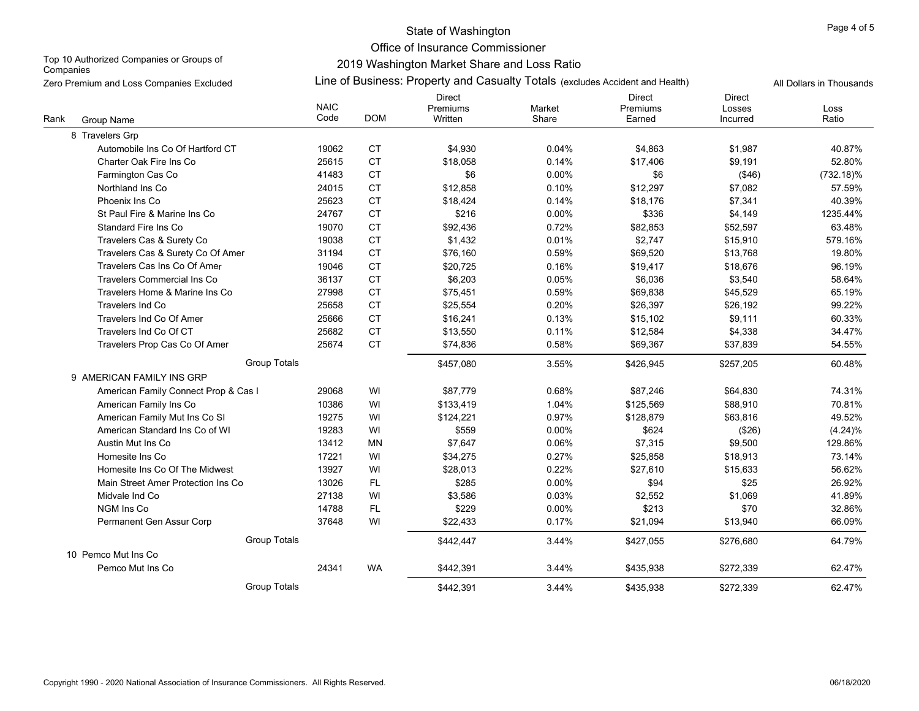Office of Insurance Commissioner

Top 10 Authorized Companies or Groups of **Companies** 

|      | Zero Premium and Loss Companies Excluded |                     |            | Line of Business: Property and Casualty Totals (excludes Accident and Health) | All Dollars in Thousands |                                     |                                     |               |
|------|------------------------------------------|---------------------|------------|-------------------------------------------------------------------------------|--------------------------|-------------------------------------|-------------------------------------|---------------|
| Rank | Group Name                               | <b>NAIC</b><br>Code | <b>DOM</b> | <b>Direct</b><br>Premiums<br>Written                                          | Market<br>Share          | <b>Direct</b><br>Premiums<br>Earned | <b>Direct</b><br>Losses<br>Incurred | Loss<br>Ratio |
|      | 8 Travelers Grp                          |                     |            |                                                                               |                          |                                     |                                     |               |
|      | Automobile Ins Co Of Hartford CT         | 19062               | <b>CT</b>  | \$4,930                                                                       | 0.04%                    | \$4,863                             | \$1,987                             | 40.87%        |
|      | Charter Oak Fire Ins Co                  | 25615               | <b>CT</b>  | \$18,058                                                                      | 0.14%                    | \$17,406                            | \$9,191                             | 52.80%        |
|      | Farmington Cas Co                        | 41483               | CT         | \$6                                                                           | 0.00%                    | \$6                                 | (\$46)                              | $(732.18)\%$  |
|      | Northland Ins Co                         | 24015               | <b>CT</b>  | \$12,858                                                                      | 0.10%                    | \$12,297                            | \$7,082                             | 57.59%        |
|      | Phoenix Ins Co                           | 25623               | <b>CT</b>  | \$18,424                                                                      | 0.14%                    | \$18,176                            | \$7,341                             | 40.39%        |
|      | St Paul Fire & Marine Ins Co             | 24767               | <b>CT</b>  | \$216                                                                         | 0.00%                    | \$336                               | \$4,149                             | 1235.44%      |
|      | Standard Fire Ins Co                     | 19070               | <b>CT</b>  | \$92,436                                                                      | 0.72%                    | \$82,853                            | \$52,597                            | 63.48%        |
|      | Travelers Cas & Surety Co                | 19038               | <b>CT</b>  | \$1,432                                                                       | 0.01%                    | \$2,747                             | \$15,910                            | 579.16%       |
|      | Travelers Cas & Surety Co Of Amer        | 31194               | <b>CT</b>  | \$76,160                                                                      | 0.59%                    | \$69,520                            | \$13,768                            | 19.80%        |
|      | Travelers Cas Ins Co Of Amer             | 19046               | <b>CT</b>  | \$20,725                                                                      | 0.16%                    | \$19,417                            | \$18,676                            | 96.19%        |
|      | <b>Travelers Commercial Ins Co</b>       | 36137               | CT         | \$6,203                                                                       | 0.05%                    | \$6,036                             | \$3,540                             | 58.64%        |
|      | Travelers Home & Marine Ins Co           | 27998               | CT         | \$75,451                                                                      | 0.59%                    | \$69,838                            | \$45,529                            | 65.19%        |
|      | <b>Travelers Ind Co</b>                  | 25658               | <b>CT</b>  | \$25,554                                                                      | 0.20%                    | \$26,397                            | \$26,192                            | 99.22%        |
|      | Travelers Ind Co Of Amer                 | 25666               | CT         | \$16,241                                                                      | 0.13%                    | \$15,102                            | \$9,111                             | 60.33%        |
|      | Travelers Ind Co Of CT                   | 25682               | <b>CT</b>  | \$13,550                                                                      | 0.11%                    | \$12,584                            | \$4,338                             | 34.47%        |
|      | Travelers Prop Cas Co Of Amer            | 25674               | <b>CT</b>  | \$74,836                                                                      | 0.58%                    | \$69,367                            | \$37,839                            | 54.55%        |
|      | <b>Group Totals</b>                      |                     |            | \$457,080                                                                     | 3.55%                    | \$426,945                           | \$257,205                           | 60.48%        |
|      | 9 AMERICAN FAMILY INS GRP                |                     |            |                                                                               |                          |                                     |                                     |               |
|      | American Family Connect Prop & Cas I     | 29068               | WI         | \$87,779                                                                      | 0.68%                    | \$87,246                            | \$64,830                            | 74.31%        |
|      | American Family Ins Co                   | 10386               | WI         | \$133,419                                                                     | 1.04%                    | \$125,569                           | \$88,910                            | 70.81%        |
|      | American Family Mut Ins Co SI            | 19275               | WI         | \$124,221                                                                     | 0.97%                    | \$128,879                           | \$63,816                            | 49.52%        |
|      | American Standard Ins Co of WI           | 19283               | WI         | \$559                                                                         | 0.00%                    | \$624                               | (\$26)                              | (4.24)%       |
|      | Austin Mut Ins Co                        | 13412               | MN         | \$7,647                                                                       | 0.06%                    | \$7,315                             | \$9,500                             | 129.86%       |
|      | Homesite Ins Co                          | 17221               | WI         | \$34,275                                                                      | 0.27%                    | \$25,858                            | \$18,913                            | 73.14%        |
|      | Homesite Ins Co Of The Midwest           | 13927               | WI         | \$28,013                                                                      | 0.22%                    | \$27,610                            | \$15,633                            | 56.62%        |
|      | Main Street Amer Protection Ins Co       | 13026               | <b>FL</b>  | \$285                                                                         | 0.00%                    | \$94                                | \$25                                | 26.92%        |
|      | Midvale Ind Co                           | 27138               | WI         | \$3,586                                                                       | 0.03%                    | \$2,552                             | \$1,069                             | 41.89%        |
|      | NGM Ins Co                               | 14788               | FL         | \$229                                                                         | 0.00%                    | \$213                               | \$70                                | 32.86%        |
|      | Permanent Gen Assur Corp                 | 37648               | WI         | \$22,433                                                                      | 0.17%                    | \$21,094                            | \$13,940                            | 66.09%        |
|      | <b>Group Totals</b>                      |                     |            | \$442,447                                                                     | 3.44%                    | \$427,055                           | \$276,680                           | 64.79%        |
|      | 10 Pemco Mut Ins Co                      |                     |            |                                                                               |                          |                                     |                                     |               |
|      | Pemco Mut Ins Co                         | 24341               | <b>WA</b>  | \$442,391                                                                     | 3.44%                    | \$435,938                           | \$272,339                           | 62.47%        |
|      | <b>Group Totals</b>                      |                     |            | \$442,391                                                                     | 3.44%                    | \$435,938                           | \$272,339                           | 62.47%        |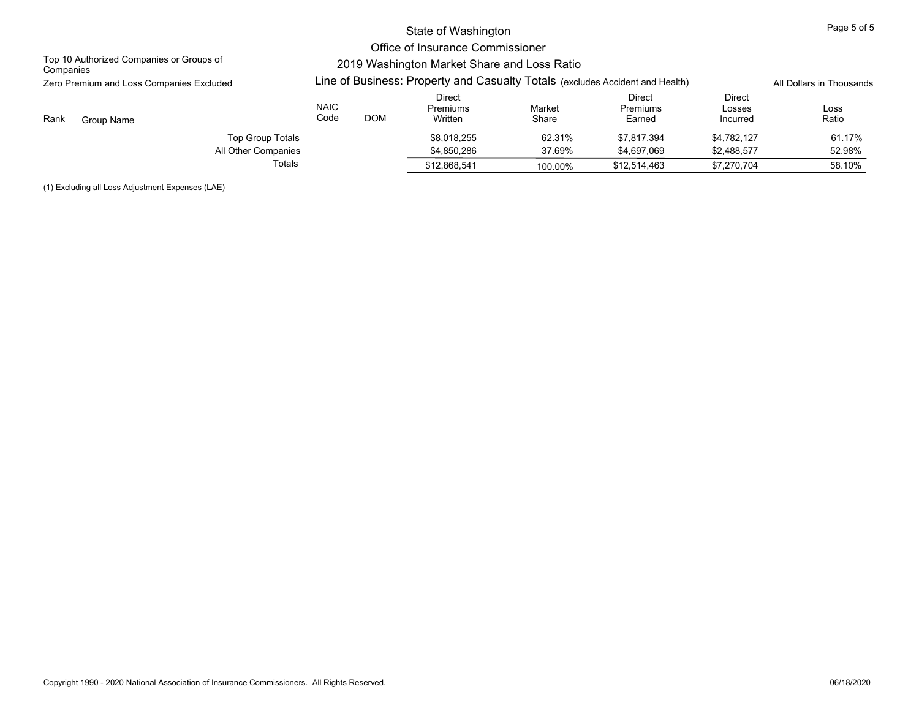|                                                       |                                                                                                                              |                          | Page 5 of 5                   |                  |                              |                              |                  |
|-------------------------------------------------------|------------------------------------------------------------------------------------------------------------------------------|--------------------------|-------------------------------|------------------|------------------------------|------------------------------|------------------|
| Top 10 Authorized Companies or Groups of              |                                                                                                                              |                          |                               |                  |                              |                              |                  |
| Companies<br>Zero Premium and Loss Companies Excluded | 2019 Washington Market Share and Loss Ratio<br>Line of Business: Property and Casualty Totals (excludes Accident and Health) | All Dollars in Thousands |                               |                  |                              |                              |                  |
| Rank<br>Group Name                                    | <b>NAIC</b><br>Code                                                                                                          | <b>DOM</b>               | Direct<br>Premiums<br>Written | Market<br>Share  | Direct<br>Premiums<br>Earned | Direct<br>Losses<br>Incurred | Loss<br>Ratio    |
| Top Group Totals<br>All Other Companies<br>Totals     |                                                                                                                              |                          | \$8.018.255<br>\$4.850.286    | 62.31%<br>37.69% | \$7.817.394<br>\$4.697.069   | \$4.782.127<br>\$2,488,577   | 61.17%<br>52.98% |
|                                                       |                                                                                                                              |                          | \$12,868,541                  | 100.00%          | \$12,514,463                 | \$7,270,704                  | 58.10%           |

(1) Excluding all Loss Adjustment Expenses (LAE)